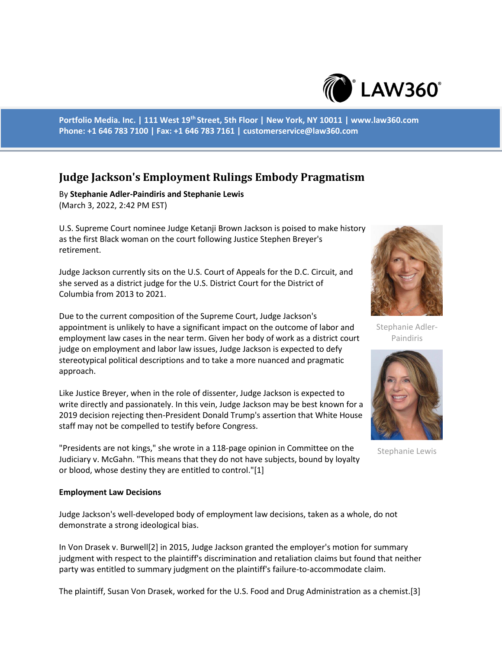

**Portfolio Media. Inc. | 111 West 19th Street, 5th Floor | New York, NY 10011 | www.law360.com Phone: +1 646 783 7100 | Fax: +1 646 783 7161 | customerservice@law360.com**

# **Judge Jackson's Employment Rulings Embody Pragmatism**

By **Stephanie Adler-Paindiris and Stephanie Lewis** (March 3, 2022, 2:42 PM EST)

U.S. Supreme Court nominee Judge Ketanji Brown Jackson is poised to make history as the first Black woman on the court following Justice Stephen Breyer's retirement.

Judge Jackson currently sits on the U.S. Court of Appeals for the D.C. Circuit, and she served as a district judge for the U.S. District Court for the District of Columbia from 2013 to 2021.

Due to the current composition of the Supreme Court, Judge Jackson's appointment is unlikely to have a significant impact on the outcome of labor and employment law cases in the near term. Given her body of work as a district court judge on employment and labor law issues, Judge Jackson is expected to defy stereotypical political descriptions and to take a more nuanced and pragmatic approach.

Like Justice Breyer, when in the role of dissenter, Judge Jackson is expected to write directly and passionately. In this vein, Judge Jackson may be best known for a 2019 decision rejecting then-President Donald Trump's assertion that White House staff may not be compelled to testify before Congress.



Stephanie Adler-Paindiris



Stephanie Lewis

"Presidents are not kings," she wrote in a 118-page opinion in Committee on the Judiciary v. McGahn. "This means that they do not have subjects, bound by loyalty or blood, whose destiny they are entitled to control."[1]

#### **Employment Law Decisions**

Judge Jackson's well-developed body of employment law decisions, taken as a whole, do not demonstrate a strong ideological bias.

In Von Drasek v. Burwell[2] in 2015, Judge Jackson granted the employer's motion for summary judgment with respect to the plaintiff's discrimination and retaliation claims but found that neither party was entitled to summary judgment on the plaintiff's failure-to-accommodate claim.

The plaintiff, Susan Von Drasek, worked for the U.S. Food and Drug Administration as a chemist.[3]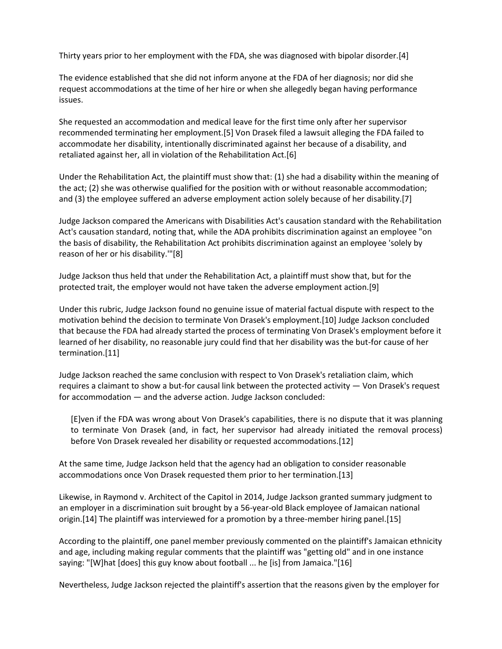Thirty years prior to her employment with the FDA, she was diagnosed with bipolar disorder.[4]

The evidence established that she did not inform anyone at the FDA of her diagnosis; nor did she request accommodations at the time of her hire or when she allegedly began having performance issues.

She requested an accommodation and medical leave for the first time only after her supervisor recommended terminating her employment.[5] Von Drasek filed a lawsuit alleging the FDA failed to accommodate her disability, intentionally discriminated against her because of a disability, and retaliated against her, all in violation of the Rehabilitation Act.[6]

Under the Rehabilitation Act, the plaintiff must show that: (1) she had a disability within the meaning of the act; (2) she was otherwise qualified for the position with or without reasonable accommodation; and (3) the employee suffered an adverse employment action solely because of her disability.[7]

Judge Jackson compared the Americans with Disabilities Act's causation standard with the Rehabilitation Act's causation standard, noting that, while the ADA prohibits discrimination against an employee "on the basis of disability, the Rehabilitation Act prohibits discrimination against an employee 'solely by reason of her or his disability.'"[8]

Judge Jackson thus held that under the Rehabilitation Act, a plaintiff must show that, but for the protected trait, the employer would not have taken the adverse employment action.[9]

Under this rubric, Judge Jackson found no genuine issue of material factual dispute with respect to the motivation behind the decision to terminate Von Drasek's employment.[10] Judge Jackson concluded that because the FDA had already started the process of terminating Von Drasek's employment before it learned of her disability, no reasonable jury could find that her disability was the but-for cause of her termination.[11]

Judge Jackson reached the same conclusion with respect to Von Drasek's retaliation claim, which requires a claimant to show a but-for causal link between the protected activity — Von Drasek's request for accommodation — and the adverse action. Judge Jackson concluded:

[E]ven if the FDA was wrong about Von Drasek's capabilities, there is no dispute that it was planning to terminate Von Drasek (and, in fact, her supervisor had already initiated the removal process) before Von Drasek revealed her disability or requested accommodations.[12]

At the same time, Judge Jackson held that the agency had an obligation to consider reasonable accommodations once Von Drasek requested them prior to her termination.[13]

Likewise, in Raymond v. Architect of the Capitol in 2014, Judge Jackson granted summary judgment to an employer in a discrimination suit brought by a 56-year-old Black employee of Jamaican national origin.[14] The plaintiff was interviewed for a promotion by a three-member hiring panel.[15]

According to the plaintiff, one panel member previously commented on the plaintiff's Jamaican ethnicity and age, including making regular comments that the plaintiff was "getting old" and in one instance saying: "[W]hat [does] this guy know about football ... he [is] from Jamaica."[16]

Nevertheless, Judge Jackson rejected the plaintiff's assertion that the reasons given by the employer for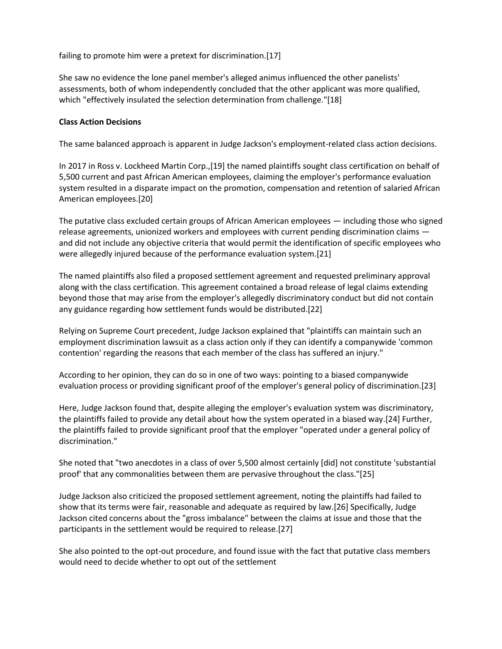failing to promote him were a pretext for discrimination.[17]

She saw no evidence the lone panel member's alleged animus influenced the other panelists' assessments, both of whom independently concluded that the other applicant was more qualified, which "effectively insulated the selection determination from challenge."[18]

### **Class Action Decisions**

The same balanced approach is apparent in Judge Jackson's employment-related class action decisions.

In 2017 in Ross v. Lockheed Martin Corp.,[19] the named plaintiffs sought class certification on behalf of 5,500 current and past African American employees, claiming the employer's performance evaluation system resulted in a disparate impact on the promotion, compensation and retention of salaried African American employees.[20]

The putative class excluded certain groups of African American employees — including those who signed release agreements, unionized workers and employees with current pending discrimination claims and did not include any objective criteria that would permit the identification of specific employees who were allegedly injured because of the performance evaluation system.[21]

The named plaintiffs also filed a proposed settlement agreement and requested preliminary approval along with the class certification. This agreement contained a broad release of legal claims extending beyond those that may arise from the employer's allegedly discriminatory conduct but did not contain any guidance regarding how settlement funds would be distributed.[22]

Relying on Supreme Court precedent, Judge Jackson explained that "plaintiffs can maintain such an employment discrimination lawsuit as a class action only if they can identify a companywide 'common contention' regarding the reasons that each member of the class has suffered an injury."

According to her opinion, they can do so in one of two ways: pointing to a biased companywide evaluation process or providing significant proof of the employer's general policy of discrimination.[23]

Here, Judge Jackson found that, despite alleging the employer's evaluation system was discriminatory, the plaintiffs failed to provide any detail about how the system operated in a biased way.[24] Further, the plaintiffs failed to provide significant proof that the employer "operated under a general policy of discrimination."

She noted that "two anecdotes in a class of over 5,500 almost certainly [did] not constitute 'substantial proof' that any commonalities between them are pervasive throughout the class."[25]

Judge Jackson also criticized the proposed settlement agreement, noting the plaintiffs had failed to show that its terms were fair, reasonable and adequate as required by law.[26] Specifically, Judge Jackson cited concerns about the "gross imbalance" between the claims at issue and those that the participants in the settlement would be required to release.[27]

She also pointed to the opt-out procedure, and found issue with the fact that putative class members would need to decide whether to opt out of the settlement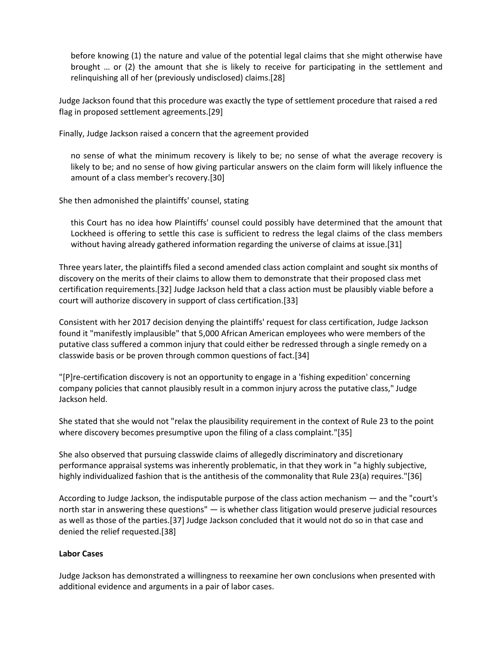before knowing (1) the nature and value of the potential legal claims that she might otherwise have brought … or (2) the amount that she is likely to receive for participating in the settlement and relinquishing all of her (previously undisclosed) claims.[28]

Judge Jackson found that this procedure was exactly the type of settlement procedure that raised a red flag in proposed settlement agreements.[29]

Finally, Judge Jackson raised a concern that the agreement provided

no sense of what the minimum recovery is likely to be; no sense of what the average recovery is likely to be; and no sense of how giving particular answers on the claim form will likely influence the amount of a class member's recovery.[30]

She then admonished the plaintiffs' counsel, stating

this Court has no idea how Plaintiffs' counsel could possibly have determined that the amount that Lockheed is offering to settle this case is sufficient to redress the legal claims of the class members without having already gathered information regarding the universe of claims at issue.[31]

Three years later, the plaintiffs filed a second amended class action complaint and sought six months of discovery on the merits of their claims to allow them to demonstrate that their proposed class met certification requirements.[32] Judge Jackson held that a class action must be plausibly viable before a court will authorize discovery in support of class certification.[33]

Consistent with her 2017 decision denying the plaintiffs' request for class certification, Judge Jackson found it "manifestly implausible" that 5,000 African American employees who were members of the putative class suffered a common injury that could either be redressed through a single remedy on a classwide basis or be proven through common questions of fact.[34]

"[P]re-certification discovery is not an opportunity to engage in a 'fishing expedition' concerning company policies that cannot plausibly result in a common injury across the putative class," Judge Jackson held.

She stated that she would not "relax the plausibility requirement in the context of Rule 23 to the point where discovery becomes presumptive upon the filing of a class complaint."[35]

She also observed that pursuing classwide claims of allegedly discriminatory and discretionary performance appraisal systems was inherently problematic, in that they work in "a highly subjective, highly individualized fashion that is the antithesis of the commonality that Rule 23(a) requires."[36]

According to Judge Jackson, the indisputable purpose of the class action mechanism — and the "court's north star in answering these questions" — is whether class litigation would preserve judicial resources as well as those of the parties.[37] Judge Jackson concluded that it would not do so in that case and denied the relief requested.[38]

## **Labor Cases**

Judge Jackson has demonstrated a willingness to reexamine her own conclusions when presented with additional evidence and arguments in a pair of labor cases.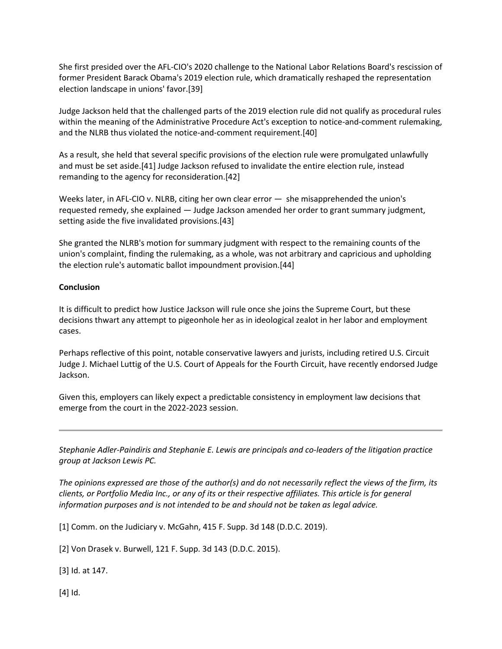She first presided over the AFL-CIO's 2020 challenge to the National Labor Relations Board's rescission of former President Barack Obama's 2019 election rule, which dramatically reshaped the representation election landscape in unions' favor.[39]

Judge Jackson held that the challenged parts of the 2019 election rule did not qualify as procedural rules within the meaning of the Administrative Procedure Act's exception to notice-and-comment rulemaking, and the NLRB thus violated the notice-and-comment requirement.[40]

As a result, she held that several specific provisions of the election rule were promulgated unlawfully and must be set aside.[41] Judge Jackson refused to invalidate the entire election rule, instead remanding to the agency for reconsideration.[42]

Weeks later, in AFL-CIO v. NLRB, citing her own clear error — she misapprehended the union's requested remedy, she explained — Judge Jackson amended her order to grant summary judgment, setting aside the five invalidated provisions.[43]

She granted the NLRB's motion for summary judgment with respect to the remaining counts of the union's complaint, finding the rulemaking, as a whole, was not arbitrary and capricious and upholding the election rule's automatic ballot impoundment provision.[44]

#### **Conclusion**

It is difficult to predict how Justice Jackson will rule once she joins the Supreme Court, but these decisions thwart any attempt to pigeonhole her as in ideological zealot in her labor and employment cases.

Perhaps reflective of this point, notable conservative lawyers and jurists, including retired U.S. Circuit Judge J. Michael Luttig of the U.S. Court of Appeals for the Fourth Circuit, have recently endorsed Judge Jackson.

Given this, employers can likely expect a predictable consistency in employment law decisions that emerge from the court in the 2022-2023 session.

*Stephanie Adler-Paindiris and Stephanie E. Lewis are principals and co-leaders of the litigation practice group at Jackson Lewis PC.*

*The opinions expressed are those of the author(s) and do not necessarily reflect the views of the firm, its clients, or Portfolio Media Inc., or any of its or their respective affiliates. This article is for general information purposes and is not intended to be and should not be taken as legal advice.*

[1] Comm. on the Judiciary v. McGahn, 415 F. Supp. 3d 148 (D.D.C. 2019).

[2] Von Drasek v. Burwell, 121 F. Supp. 3d 143 (D.D.C. 2015).

[3] Id. at 147.

[4] Id.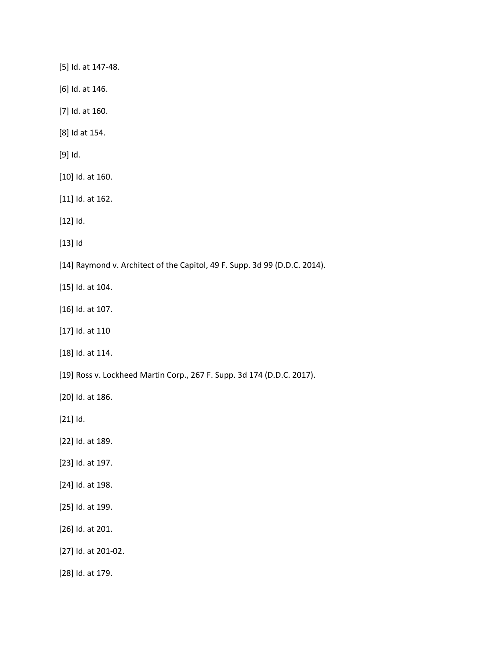[5] Id. at 147-48.

[6] Id. at 146.

[7] Id. at 160.

[8] Id at 154.

[9] Id.

[10] Id. at 160.

[11] Id. at 162.

[12] Id.

[13] Id

[14] Raymond v. Architect of the Capitol, 49 F. Supp. 3d 99 (D.D.C. 2014).

[15] Id. at 104.

- [16] Id. at 107.
- [17] Id. at 110

[18] Id. at 114.

[19] Ross v. Lockheed Martin Corp., 267 F. Supp. 3d 174 (D.D.C. 2017).

[20] Id. at 186.

[21] Id.

[22] Id. at 189.

[23] Id. at 197.

[24] Id. at 198.

[25] Id. at 199.

[26] Id. at 201.

[27] Id. at 201-02.

[28] Id. at 179.